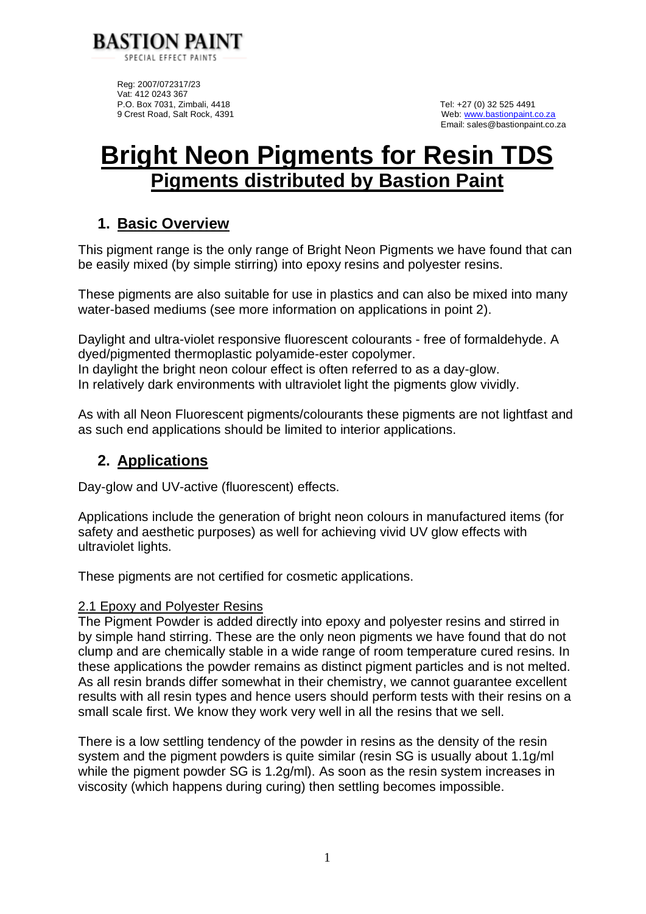

Reg: 2007/072317/23 Vat: 412 0243 367 P.O. Box 7031, Zimbali, 4418 Tel: +27 (0) 32 525 4491<br>
9 Crest Road, Salt Rock, 4391 Tel: +27 (0) 32 525 4491

Web: [www.bastionpaint.co.za](http://www.bastionpaint.co.za/) Email: sales@bastionpaint.co.za

# **Bright Neon Pigments for Resin TDS Pigments distributed by Bastion Paint**

## **1. Basic Overview**

This pigment range is the only range of Bright Neon Pigments we have found that can be easily mixed (by simple stirring) into epoxy resins and polyester resins.

These pigments are also suitable for use in plastics and can also be mixed into many water-based mediums (see more information on applications in point 2).

Daylight and ultra-violet responsive fluorescent colourants - free of formaldehyde. A dyed/pigmented thermoplastic polyamide-ester copolymer. In daylight the bright neon colour effect is often referred to as a day-glow. In relatively dark environments with ultraviolet light the pigments glow vividly.

As with all Neon Fluorescent pigments/colourants these pigments are not lightfast and as such end applications should be limited to interior applications.

## **2. Applications**

Day-glow and UV-active (fluorescent) effects.

Applications include the generation of bright neon colours in manufactured items (for safety and aesthetic purposes) as well for achieving vivid UV glow effects with ultraviolet lights.

These pigments are not certified for cosmetic applications.

#### 2.1 Epoxy and Polyester Resins

The Pigment Powder is added directly into epoxy and polyester resins and stirred in by simple hand stirring. These are the only neon pigments we have found that do not clump and are chemically stable in a wide range of room temperature cured resins. In these applications the powder remains as distinct pigment particles and is not melted. As all resin brands differ somewhat in their chemistry, we cannot guarantee excellent results with all resin types and hence users should perform tests with their resins on a small scale first. We know they work very well in all the resins that we sell.

There is a low settling tendency of the powder in resins as the density of the resin system and the pigment powders is quite similar (resin SG is usually about 1.1g/ml while the pigment powder SG is 1.2g/ml). As soon as the resin system increases in viscosity (which happens during curing) then settling becomes impossible.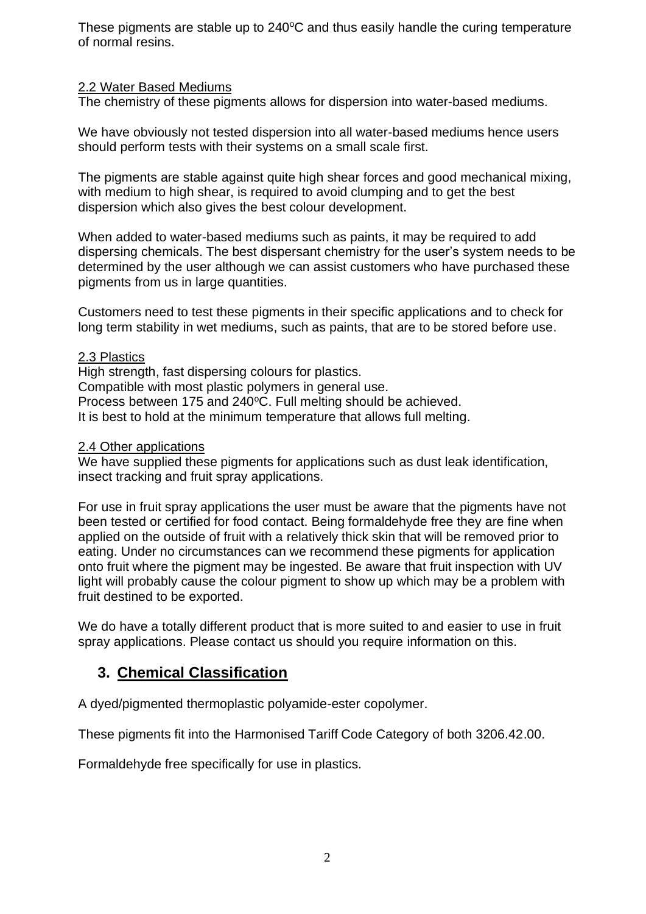These pigments are stable up to  $240^{\circ}$ C and thus easily handle the curing temperature of normal resins.

### 2.2 Water Based Mediums

The chemistry of these pigments allows for dispersion into water-based mediums.

We have obviously not tested dispersion into all water-based mediums hence users should perform tests with their systems on a small scale first.

The pigments are stable against quite high shear forces and good mechanical mixing, with medium to high shear, is required to avoid clumping and to get the best dispersion which also gives the best colour development.

When added to water-based mediums such as paints, it may be required to add dispersing chemicals. The best dispersant chemistry for the user's system needs to be determined by the user although we can assist customers who have purchased these pigments from us in large quantities.

Customers need to test these pigments in their specific applications and to check for long term stability in wet mediums, such as paints, that are to be stored before use.

#### 2.3 Plastics

High strength, fast dispersing colours for plastics. Compatible with most plastic polymers in general use. Process between 175 and 240°C. Full melting should be achieved. It is best to hold at the minimum temperature that allows full melting.

#### 2.4 Other applications

We have supplied these pigments for applications such as dust leak identification, insect tracking and fruit spray applications.

For use in fruit spray applications the user must be aware that the pigments have not been tested or certified for food contact. Being formaldehyde free they are fine when applied on the outside of fruit with a relatively thick skin that will be removed prior to eating. Under no circumstances can we recommend these pigments for application onto fruit where the pigment may be ingested. Be aware that fruit inspection with UV light will probably cause the colour pigment to show up which may be a problem with fruit destined to be exported.

We do have a totally different product that is more suited to and easier to use in fruit spray applications. Please contact us should you require information on this.

## **3. Chemical Classification**

A dyed/pigmented thermoplastic polyamide-ester copolymer.

These pigments fit into the Harmonised Tariff Code Category of both 3206.42.00.

Formaldehyde free specifically for use in plastics.